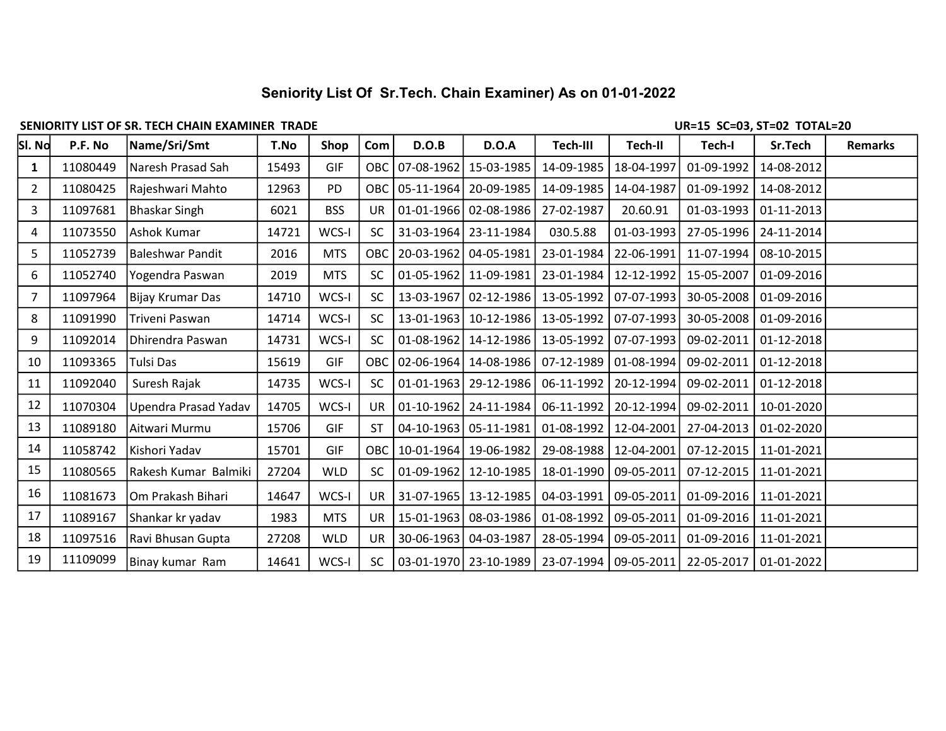## Seniority List Of Sr.Tech. Chain Examiner) As on 01-01-2022

## SENIORITY LIST OF SR. TECH CHAIN EXAMINER TRADE UR=15 SC=03, ST=02 TOTAL=20

| SI. No         | P.F. No  | Name/Sri/Smt         | T.No  | Shop       | Com        | D.O.B            | D.O.A                 | Tech-III   | Tech-II      | Tech-I                                                         | Sr.Tech    | <b>Remarks</b> |
|----------------|----------|----------------------|-------|------------|------------|------------------|-----------------------|------------|--------------|----------------------------------------------------------------|------------|----------------|
| $\mathbf{1}$   | 11080449 | Naresh Prasad Sah    | 15493 | <b>GIF</b> | OBC        | $07 - 08 - 1962$ | 15-03-1985            | 14-09-1985 | 18-04-1997   | 01-09-1992                                                     | 14-08-2012 |                |
| $\overline{2}$ | 11080425 | Rajeshwari Mahto     | 12963 | <b>PD</b>  | <b>OBC</b> | $05 - 11 - 1964$ | 20-09-1985            | 14-09-1985 | 14-04-1987   | 01-09-1992                                                     | 14-08-2012 |                |
| 3              | 11097681 | Bhaskar Singh        | 6021  | <b>BSS</b> | <b>UR</b>  |                  | 01-01-1966 02-08-1986 | 27-02-1987 | 20.60.91     | 01-03-1993                                                     | 01-11-2013 |                |
| 4              | 11073550 | Ashok Kumar          | 14721 | WCS-I      | <b>SC</b>  |                  | 31-03-1964 23-11-1984 | 030.5.88   | $01-03-1993$ | 27-05-1996                                                     | 24-11-2014 |                |
| 5              | 11052739 | Baleshwar Pandit     | 2016  | <b>MTS</b> | OBC        | 20-03-1962       | 04-05-1981            | 23-01-1984 | 22-06-1991   | 11-07-1994                                                     | 08-10-2015 |                |
| 6              | 11052740 | Yogendra Paswan      | 2019  | <b>MTS</b> | <b>SC</b>  |                  | 01-05-1962 11-09-1981 | 23-01-1984 | 12-12-1992   | 15-05-2007                                                     | 01-09-2016 |                |
| $\overline{7}$ | 11097964 | Bijay Krumar Das     | 14710 | WCS-I      | <b>SC</b>  |                  | 13-03-1967 02-12-1986 | 13-05-1992 | 07-07-1993   | 30-05-2008                                                     | 01-09-2016 |                |
| 8              | 11091990 | Triveni Paswan       | 14714 | WCS-I      | <b>SC</b>  | 13-01-1963       | 10-12-1986            | 13-05-1992 | 07-07-1993   | 30-05-2008                                                     | 01-09-2016 |                |
| 9              | 11092014 | Dhirendra Paswan     | 14731 | WCS-I      | <b>SC</b>  | $01-08-1962$     | 14-12-1986            | 13-05-1992 | 07-07-1993   | 09-02-2011                                                     | 01-12-2018 |                |
| 10             | 11093365 | Tulsi Das            | 15619 | GIF        | OBC        |                  | 02-06-1964 14-08-1986 | 07-12-1989 | 01-08-1994   | 09-02-2011                                                     | 01-12-2018 |                |
| 11             | 11092040 | Suresh Rajak         | 14735 | WCS-I      | <b>SC</b>  | $01 - 01 - 1963$ | 29-12-1986            | 06-11-1992 | 20-12-1994   | 09-02-2011                                                     | 01-12-2018 |                |
| 12             | 11070304 | Upendra Prasad Yadav | 14705 | WCS-I      | <b>UR</b>  | $01 - 10 - 1962$ | 24-11-1984            | 06-11-1992 | 20-12-1994   | 09-02-2011                                                     | 10-01-2020 |                |
| 13             | 11089180 | Aitwari Murmu        | 15706 | GIF        | <b>ST</b>  |                  | 04-10-1963 05-11-1981 | 01-08-1992 | 12-04-2001   | 27-04-2013                                                     | 01-02-2020 |                |
| 14             | 11058742 | Kishori Yadav        | 15701 | GIF        | OBC        |                  | 10-01-1964 19-06-1982 | 29-08-1988 | 12-04-2001   | 07-12-2015                                                     | 11-01-2021 |                |
| 15             | 11080565 | Rakesh Kumar Balmiki | 27204 | <b>WLD</b> | <b>SC</b>  | $01-09-1962$     | $12 - 10 - 1985$      | 18-01-1990 | 09-05-2011   | 07-12-2015                                                     | 11-01-2021 |                |
| 16             | 11081673 | Om Prakash Bihari    | 14647 | WCS-I      | <b>UR</b>  |                  | 31-07-1965 13-12-1985 | 04-03-1991 | 09-05-2011   | 01-09-2016                                                     | 11-01-2021 |                |
| 17             | 11089167 | Shankar kr yadav     | 1983  | <b>MTS</b> | <b>UR</b>  |                  | 15-01-1963 08-03-1986 | 01-08-1992 | 09-05-2011   | 01-09-2016                                                     | 11-01-2021 |                |
| 18             | 11097516 | Ravi Bhusan Gupta    | 27208 | <b>WLD</b> | <b>UR</b>  |                  | 30-06-1963 04-03-1987 | 28-05-1994 | 09-05-2011   | 01-09-2016                                                     | 11-01-2021 |                |
| 19             | 11109099 | Binay kumar Ram      | 14641 | WCS-I      | <b>SC</b>  |                  |                       |            |              | 03-01-1970   23-10-1989   23-07-1994   09-05-2011   22-05-2017 | 01-01-2022 |                |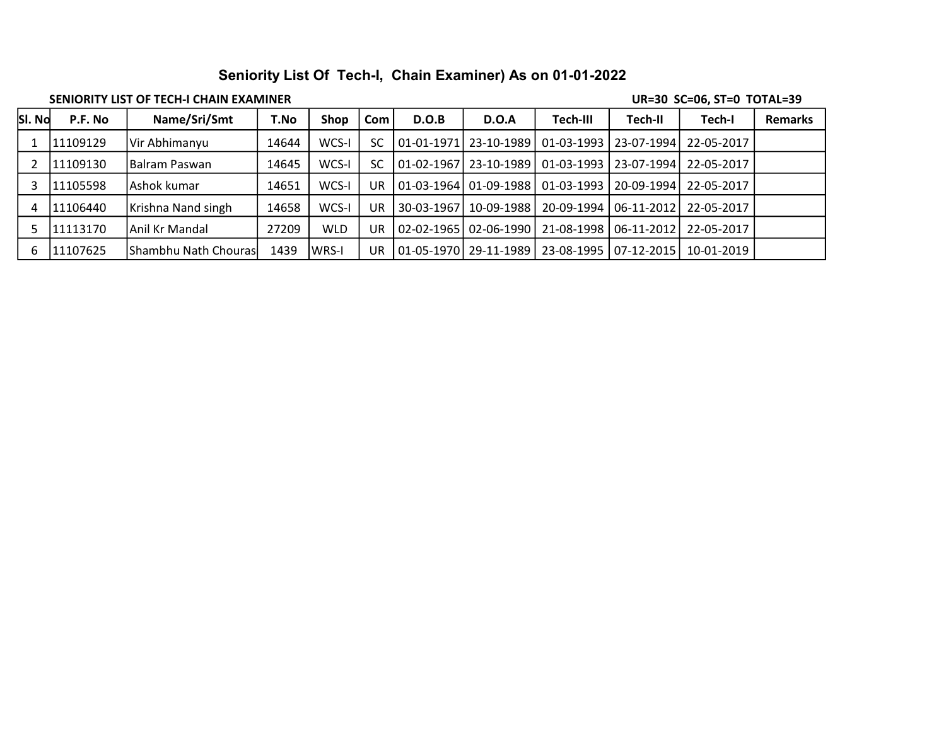## Seniority List Of Tech-I, Chain Examiner) As on 01-01-2022

## SENIORITY LIST OF TECH-I CHAIN EXAMINER **EXAMINER** SENIORITY LIST OF TOTAL=39

| SI. No | P.F. No   | Name/Sri/Smt         | T.No  | <b>Shop</b>  | Com | D.O.B          | D.O.A                   | Tech-III   | Tech-II                 | Tech-I                               | <b>Remarks</b> |
|--------|-----------|----------------------|-------|--------------|-----|----------------|-------------------------|------------|-------------------------|--------------------------------------|----------------|
|        | 11109129  | Vir Abhimanyu        | 14644 | WCS-I        | SC  |                | 01-01-1971   23-10-1989 |            |                         | 01-03-1993   23-07-1994   22-05-2017 |                |
|        | 11109130  | IBalram Paswan       | 14645 | WCS-I        | SC  |                | 01-02-1967   23-10-1989 |            |                         | 01-03-1993   23-07-1994   22-05-2017 |                |
|        | 11105598  | Ashok kumar          | 14651 | WCS-I        | UR  |                | 01-03-1964   01-09-1988 | 01-03-1993 | 20-09-1994              | 22-05-2017                           |                |
|        | 111106440 | Krishna Nand singh   | 14658 | WCS-I        | UR  | l 30-03-1967 l | 10-09-1988              |            |                         | 20-09-1994   06-11-2012   22-05-2017 |                |
|        | 11113170  | Anil Kr Mandal       | 27209 | <b>WLD</b>   | UR  |                | 02-02-1965   02-06-1990 |            |                         | 21-08-1998 06-11-2012 22-05-2017     |                |
| b      | 11107625  | Shambhu Nath Chouras | 1439  | <b>WRS-I</b> | UR  |                | 01-05-1970   29-11-1989 |            | 23-08-1995   07-12-2015 | 10-01-2019                           |                |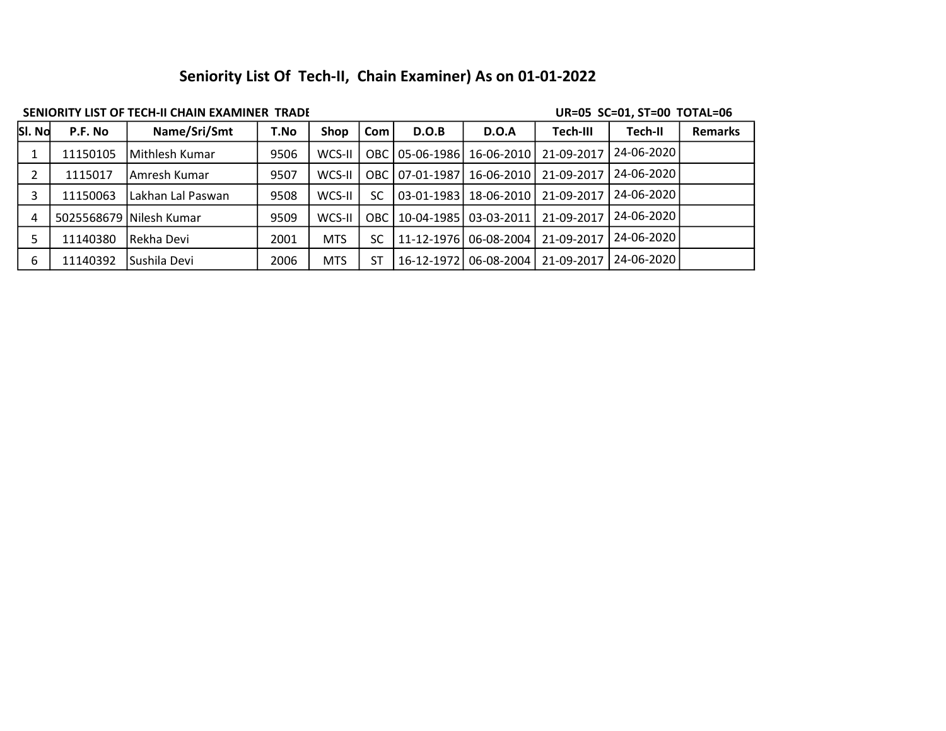# Seniority List Of Tech-II, Chain Examiner) As on 01-01-2022

## SENIORITY LIST OF TECH-II CHAIN EXAMINER TRADE UR=05 SC=01, ST=00 TOTAL=06

| SI. No | P.F. No  | Name/Sri/Smt            | T.No | <b>Shop</b> | Com       | D.O.B            | <b>D.O.A</b>     | Tech-III   | Tech-II    | <b>Remarks</b> |
|--------|----------|-------------------------|------|-------------|-----------|------------------|------------------|------------|------------|----------------|
|        | 11150105 | Mithlesh Kumar          | 9506 | WCS-II      | ОВС       | 05-06-1986       | 16-06-2010       | 21-09-2017 | 24-06-2020 |                |
|        | 1115017  | lAmresh Kumar           | 9507 | WCS-II      | OBC.      | $07-01-1987$     | 16-06-2010       | 21-09-2017 | 24-06-2020 |                |
|        | 11150063 | Lakhan Lal Paswan       | 9508 | WCS-II      | <b>SC</b> | $03 - 01 - 1983$ | 18-06-2010       | 21-09-2017 | 24-06-2020 |                |
| 4      |          | 5025568679 Nilesh Kumar | 9509 | WCS-II      | ОВС       | 10-04-1985       | 03-03-2011       | 21-09-2017 | 24-06-2020 |                |
|        | 11140380 | Rekha Devi              | 2001 | <b>MTS</b>  | <b>SC</b> | 11-12-1976       | $06 - 08 - 2004$ | 21-09-2017 | 24-06-2020 |                |
| 6      | 11140392 | lSushila Devi           | 2006 | <b>MTS</b>  | ST        | 16-12-1972       | 06-08-2004       | 21-09-2017 | 24-06-2020 |                |